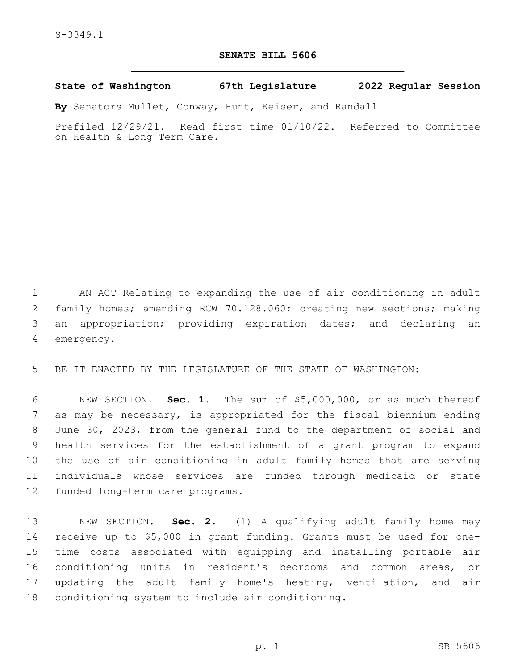## **SENATE BILL 5606**

## **State of Washington 67th Legislature 2022 Regular Session**

**By** Senators Mullet, Conway, Hunt, Keiser, and Randall

Prefiled 12/29/21. Read first time 01/10/22. Referred to Committee on Health & Long Term Care.

 AN ACT Relating to expanding the use of air conditioning in adult family homes; amending RCW 70.128.060; creating new sections; making an appropriation; providing expiration dates; and declaring an 4 emergency.

BE IT ENACTED BY THE LEGISLATURE OF THE STATE OF WASHINGTON:

 NEW SECTION. **Sec. 1.** The sum of \$5,000,000, or as much thereof as may be necessary, is appropriated for the fiscal biennium ending June 30, 2023, from the general fund to the department of social and health services for the establishment of a grant program to expand the use of air conditioning in adult family homes that are serving individuals whose services are funded through medicaid or state funded long-term care programs.

 NEW SECTION. **Sec. 2.** (1) A qualifying adult family home may receive up to \$5,000 in grant funding. Grants must be used for one- time costs associated with equipping and installing portable air conditioning units in resident's bedrooms and common areas, or updating the adult family home's heating, ventilation, and air conditioning system to include air conditioning.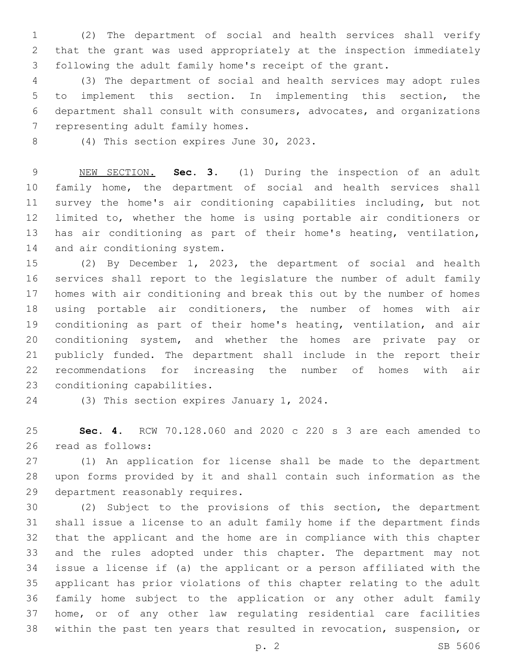(2) The department of social and health services shall verify that the grant was used appropriately at the inspection immediately following the adult family home's receipt of the grant.

 (3) The department of social and health services may adopt rules to implement this section. In implementing this section, the department shall consult with consumers, advocates, and organizations 7 representing adult family homes.

8 (4) This section expires June 30, 2023.

 NEW SECTION. **Sec. 3.** (1) During the inspection of an adult family home, the department of social and health services shall survey the home's air conditioning capabilities including, but not limited to, whether the home is using portable air conditioners or has air conditioning as part of their home's heating, ventilation, and air conditioning system.

 (2) By December 1, 2023, the department of social and health services shall report to the legislature the number of adult family homes with air conditioning and break this out by the number of homes using portable air conditioners, the number of homes with air conditioning as part of their home's heating, ventilation, and air conditioning system, and whether the homes are private pay or publicly funded. The department shall include in the report their recommendations for increasing the number of homes with air 23 conditioning capabilities.

24 (3) This section expires January 1, 2024.

 **Sec. 4.** RCW 70.128.060 and 2020 c 220 s 3 are each amended to 26 read as follows:

 (1) An application for license shall be made to the department upon forms provided by it and shall contain such information as the 29 department reasonably requires.

 (2) Subject to the provisions of this section, the department shall issue a license to an adult family home if the department finds that the applicant and the home are in compliance with this chapter and the rules adopted under this chapter. The department may not issue a license if (a) the applicant or a person affiliated with the applicant has prior violations of this chapter relating to the adult family home subject to the application or any other adult family home, or of any other law regulating residential care facilities within the past ten years that resulted in revocation, suspension, or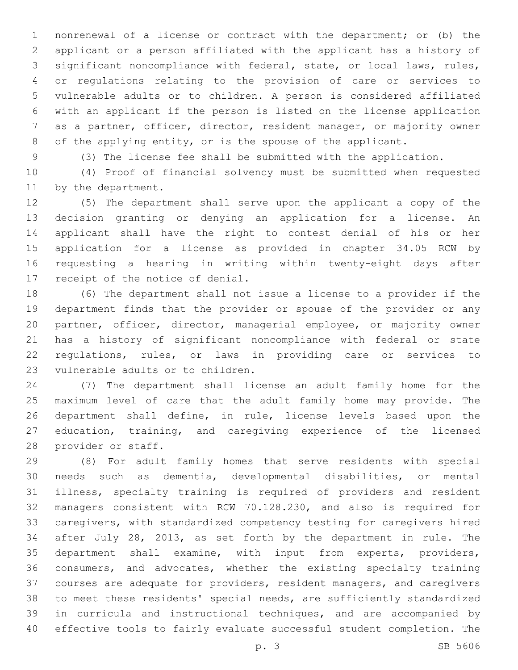nonrenewal of a license or contract with the department; or (b) the applicant or a person affiliated with the applicant has a history of significant noncompliance with federal, state, or local laws, rules, or regulations relating to the provision of care or services to vulnerable adults or to children. A person is considered affiliated with an applicant if the person is listed on the license application as a partner, officer, director, resident manager, or majority owner of the applying entity, or is the spouse of the applicant.

(3) The license fee shall be submitted with the application.

 (4) Proof of financial solvency must be submitted when requested 11 by the department.

 (5) The department shall serve upon the applicant a copy of the decision granting or denying an application for a license. An applicant shall have the right to contest denial of his or her application for a license as provided in chapter 34.05 RCW by requesting a hearing in writing within twenty-eight days after 17 receipt of the notice of denial.

 (6) The department shall not issue a license to a provider if the department finds that the provider or spouse of the provider or any partner, officer, director, managerial employee, or majority owner has a history of significant noncompliance with federal or state regulations, rules, or laws in providing care or services to 23 vulnerable adults or to children.

 (7) The department shall license an adult family home for the maximum level of care that the adult family home may provide. The department shall define, in rule, license levels based upon the education, training, and caregiving experience of the licensed 28 provider or staff.

 (8) For adult family homes that serve residents with special needs such as dementia, developmental disabilities, or mental illness, specialty training is required of providers and resident managers consistent with RCW 70.128.230, and also is required for caregivers, with standardized competency testing for caregivers hired after July 28, 2013, as set forth by the department in rule. The department shall examine, with input from experts, providers, consumers, and advocates, whether the existing specialty training courses are adequate for providers, resident managers, and caregivers to meet these residents' special needs, are sufficiently standardized in curricula and instructional techniques, and are accompanied by effective tools to fairly evaluate successful student completion. The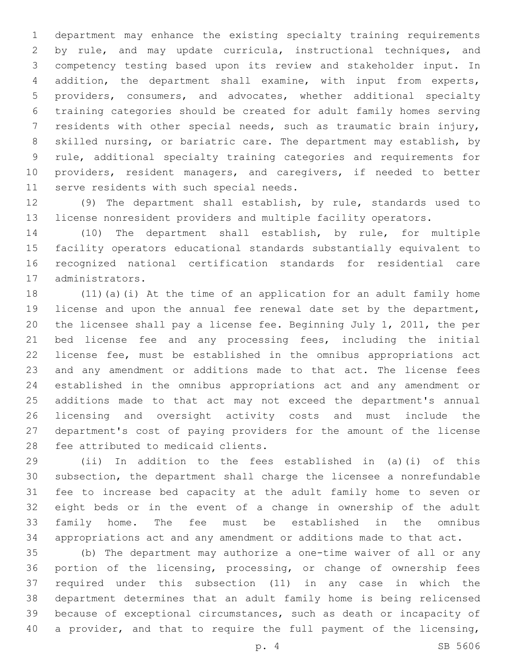department may enhance the existing specialty training requirements by rule, and may update curricula, instructional techniques, and competency testing based upon its review and stakeholder input. In addition, the department shall examine, with input from experts, providers, consumers, and advocates, whether additional specialty training categories should be created for adult family homes serving residents with other special needs, such as traumatic brain injury, skilled nursing, or bariatric care. The department may establish, by rule, additional specialty training categories and requirements for providers, resident managers, and caregivers, if needed to better 11 serve residents with such special needs.

 (9) The department shall establish, by rule, standards used to license nonresident providers and multiple facility operators.

 (10) The department shall establish, by rule, for multiple facility operators educational standards substantially equivalent to recognized national certification standards for residential care 17 administrators.

 (11)(a)(i) At the time of an application for an adult family home license and upon the annual fee renewal date set by the department, the licensee shall pay a license fee. Beginning July 1, 2011, the per bed license fee and any processing fees, including the initial license fee, must be established in the omnibus appropriations act and any amendment or additions made to that act. The license fees established in the omnibus appropriations act and any amendment or additions made to that act may not exceed the department's annual licensing and oversight activity costs and must include the department's cost of paying providers for the amount of the license 28 fee attributed to medicaid clients.

 (ii) In addition to the fees established in (a)(i) of this subsection, the department shall charge the licensee a nonrefundable fee to increase bed capacity at the adult family home to seven or eight beds or in the event of a change in ownership of the adult family home. The fee must be established in the omnibus appropriations act and any amendment or additions made to that act.

 (b) The department may authorize a one-time waiver of all or any portion of the licensing, processing, or change of ownership fees required under this subsection (11) in any case in which the department determines that an adult family home is being relicensed because of exceptional circumstances, such as death or incapacity of 40 a provider, and that to require the full payment of the licensing,